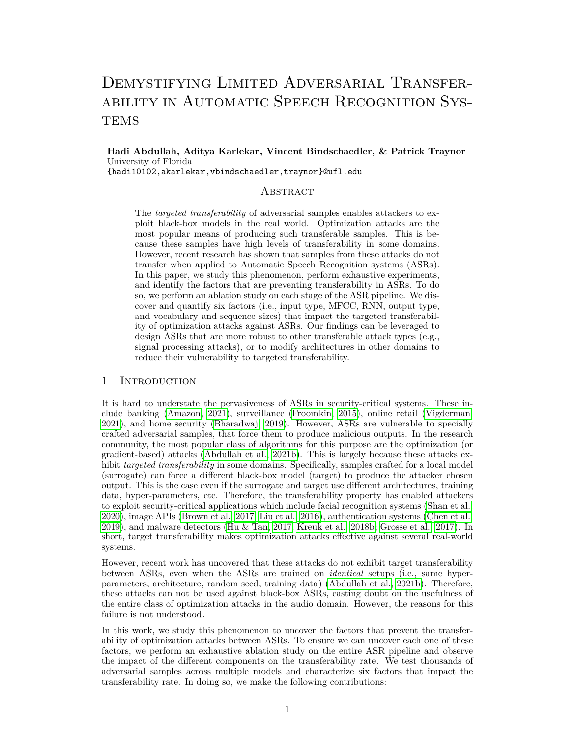# DEMYSTIFYING LIMITED ADVERSARIAL TRANSFERability in Automatic Speech Recognition Sys-**TEMS**

**Hadi Abdullah, Aditya Karlekar, Vincent Bindschaedler, & Patrick Traynor** University of Florida

{hadi10102,akarlekar,vbindschaedler,traynor}@ufl.edu

# **ABSTRACT**

The *targeted transferability* of adversarial samples enables attackers to exploit black-box models in the real world. Optimization attacks are the most popular means of producing such transferable samples. This is because these samples have high levels of transferability in some domains. However, recent research has shown that samples from these attacks do not transfer when applied to Automatic Speech Recognition systems (ASRs). In this paper, we study this phenomenon, perform exhaustive experiments, and identify the factors that are preventing transferability in ASRs. To do so, we perform an ablation study on each stage of the ASR pipeline. We discover and quantify six factors (i.e., input type, MFCC, RNN, output type, and vocabulary and sequence sizes) that impact the targeted transferability of optimization attacks against ASRs. Our findings can be leveraged to design ASRs that are more robust to other transferable attack types (e.g., signal processing attacks), or to modify architectures in other domains to reduce their vulnerability to targeted transferability.

## 1 INTRODUCTION

It is hard to understate the pervasiveness of ASRs in security-critical systems. These include banking [\(Amazon, 2021\)](#page-9-0), surveillance [\(Froomkin, 2015\)](#page-10-0), online retail [\(Vigderman,](#page-12-0) [2021\)](#page-12-0), and home security [\(Bharadwaj, 2019\)](#page-9-1). However, ASRs are vulnerable to specially crafted adversarial samples, that force them to produce malicious outputs. In the research community, the most popular class of algorithms for this purpose are the optimization (or gradient-based) attacks [\(Abdullah et al., 2021b\)](#page-9-2). This is largely because these attacks exhibit *targeted transferability* in some domains. Specifically, samples crafted for a local model (surrogate) can force a different black-box model (target) to produce the attacker chosen output. This is the case even if the surrogate and target use different architectures, training data, hyper-parameters, etc. Therefore, the transferability property has enabled attackers to exploit security-critical applications which include facial recognition systems [\(Shan et al.,](#page-12-1) [2020\)](#page-12-1), image APIs [\(Brown et al., 2017;](#page-10-1) [Liu et al., 2016\)](#page-11-0), authentication systems [\(Chen et al.,](#page-10-2) [2019\)](#page-10-2), and malware detectors [\(Hu & Tan, 2017;](#page-11-1) [Kreuk et al., 2018b;](#page-11-2) [Grosse et al., 2017\)](#page-10-3). In short, target transferability makes optimization attacks effective against several real-world systems.

However, recent work has uncovered that these attacks do not exhibit target transferability between ASRs, even when the ASRs are trained on *identical* setups (i.e., same hyperparameters, architecture, random seed, training data) [\(Abdullah et al., 2021b\)](#page-9-2). Therefore, these attacks can not be used against black-box ASRs, casting doubt on the usefulness of the entire class of optimization attacks in the audio domain. However, the reasons for this failure is not understood.

In this work, we study this phenomenon to uncover the factors that prevent the transferability of optimization attacks between ASRs. To ensure we can uncover each one of these factors, we perform an exhaustive ablation study on the entire ASR pipeline and observe the impact of the different components on the transferability rate. We test thousands of adversarial samples across multiple models and characterize six factors that impact the transferability rate. In doing so, we make the following contributions: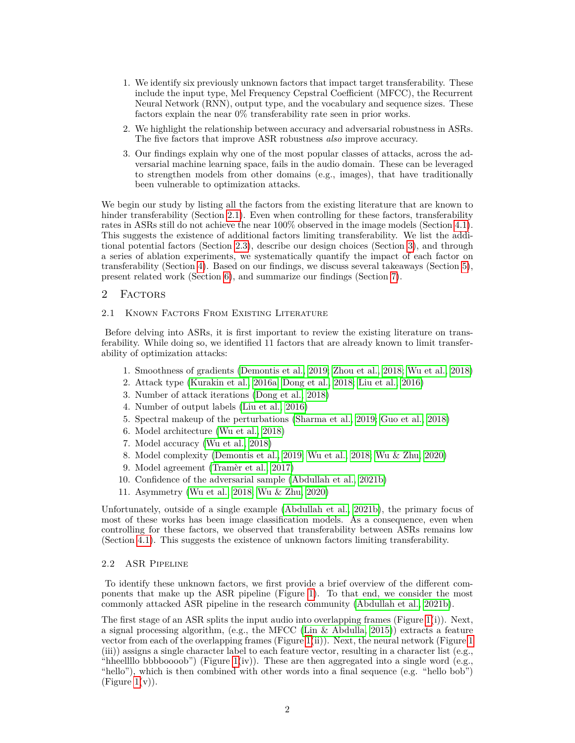- 1. We identify six previously unknown factors that impact target transferability. These include the input type, Mel Frequency Cepstral Coefficient (MFCC), the Recurrent Neural Network (RNN), output type, and the vocabulary and sequence sizes. These factors explain the near 0% transferability rate seen in prior works.
- 2. We highlight the relationship between accuracy and adversarial robustness in ASRs. The five factors that improve ASR robustness *also* improve accuracy.
- 3. Our findings explain why one of the most popular classes of attacks, across the adversarial machine learning space, fails in the audio domain. These can be leveraged to strengthen models from other domains (e.g., images), that have traditionally been vulnerable to optimization attacks.

We begin our study by listing all the factors from the existing literature that are known to hinder transferability (Section [2.1\)](#page-1-0). Even when controlling for these factors, transferability rates in ASRs still do not achieve the near 100% observed in the image models (Section [4.1\)](#page-4-0). This suggests the existence of additional factors limiting transferability. We list the additional potential factors (Section [2.3\)](#page-2-0), describe our design choices (Section [3\)](#page-3-0), and through a series of ablation experiments, we systematically quantify the impact of each factor on transferability (Section [4\)](#page-4-1). Based on our findings, we discuss several takeaways (Section [5\)](#page-7-0), present related work (Section [6\)](#page-8-0), and summarize our findings (Section [7\)](#page-8-1).

## <span id="page-1-1"></span>2 FACTORS

## <span id="page-1-0"></span>2.1 Known Factors From Existing Literature

Before delving into ASRs, it is first important to review the existing literature on transferability. While doing so, we identified 11 factors that are already known to limit transferability of optimization attacks:

- 1. Smoothness of gradients [\(Demontis et al., 2019;](#page-10-4) [Zhou et al., 2018;](#page-12-2) [Wu et al., 2018\)](#page-12-3)
- 2. Attack type [\(Kurakin et al., 2016a;](#page-11-3) [Dong et al., 2018;](#page-10-5) [Liu et al., 2016\)](#page-11-0)
- 3. Number of attack iterations [\(Dong et al., 2018\)](#page-10-5)
- 4. Number of output labels [\(Liu et al., 2016\)](#page-11-0)
- 5. Spectral makeup of the perturbations [\(Sharma et al., 2019;](#page-12-4) [Guo et al., 2018\)](#page-11-4)
- 6. Model architecture [\(Wu et al., 2018\)](#page-12-3)
- 7. Model accuracy [\(Wu et al., 2018\)](#page-12-3)
- 8. Model complexity [\(Demontis et al., 2019;](#page-10-4) [Wu et al., 2018;](#page-12-3) [Wu & Zhu, 2020\)](#page-12-5)
- 9. Model agreement [\(Tramèr et al., 2017\)](#page-12-6)
- 10. Confidence of the adversarial sample [\(Abdullah et al., 2021b\)](#page-9-2)
- 11. Asymmetry [\(Wu et al., 2018;](#page-12-3) [Wu & Zhu, 2020\)](#page-12-5)

Unfortunately, outside of a single example [\(Abdullah et al., 2021b\)](#page-9-2), the primary focus of most of these works has been image classification models. As a consequence, even when controlling for these factors, we observed that transferability between ASRs remains low (Section [4.1\)](#page-4-0). This suggests the existence of unknown factors limiting transferability.

#### 2.2 ASR Pipeline

To identify these unknown factors, we first provide a brief overview of the different components that make up the ASR pipeline (Figure [1\)](#page-2-1). To that end, we consider the most commonly attacked ASR pipeline in the research community [\(Abdullah et al., 2021b\)](#page-9-2).

The first stage of an ASR splits the input audio into overlapping frames (Figure [1\(](#page-2-1)i)). Next, a signal processing algorithm, (e.g., the MFCC (Lin  $\&$  Abdulla, 2015)) extracts a feature vector from each of the overlapping frames (Figure [1\(](#page-2-1)ii)). Next, the neural network (Figure [1](#page-2-1) (iii)) assigns a single character label to each feature vector, resulting in a character list (e.g., "hheelllo bbbboooob") (Figure  $1(iv)$ ). These are then aggregated into a single word (e.g., "hello"), which is then combined with other words into a final sequence (e.g. "hello bob") (Figure  $1(v)$ ).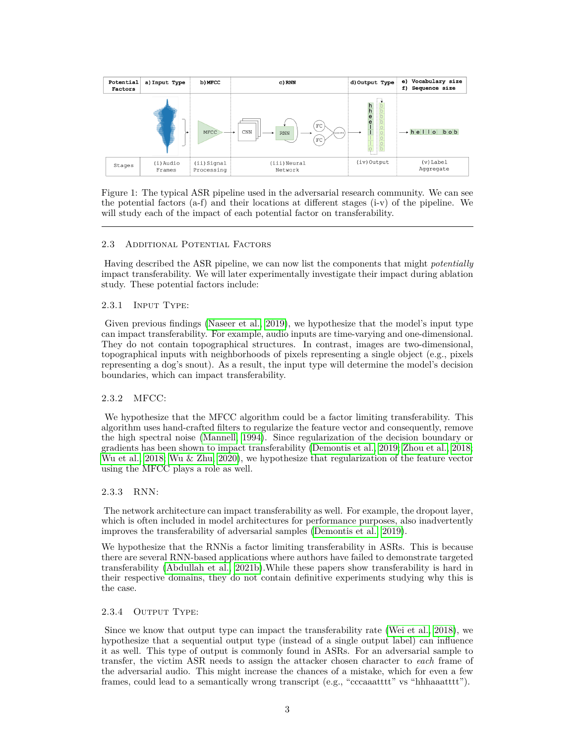| Potential<br>Factors | a) Input Type       | b) MFCC                  | c) RNN                                                             | d) Output Type | e) Vocabulary size<br>Sequence size<br>f) |
|----------------------|---------------------|--------------------------|--------------------------------------------------------------------|----------------|-------------------------------------------|
|                      | <b>The Marines</b>  | MFCC                     | $_{\rm FC}$<br>$_{\rm CNN}$<br><b>RNN</b><br>LOGITS<br>$_{\rm FC}$ | $1 - 1 - 1$    | $b$ ob<br>$\rightarrow$ hellio            |
| Stages               | (i) Audio<br>Frames | (ii)Signal<br>Processing | (iii)Neural<br>Network                                             | (iv)Output     | $(v)$ Label<br>Aggregate                  |

<span id="page-2-1"></span>Figure 1: The typical ASR pipeline used in the adversarial research community. We can see the potential factors (a-f) and their locations at different stages (i-v) of the pipeline. We will study each of the impact of each potential factor on transferability.

## <span id="page-2-0"></span>2.3 Additional Potential Factors

Having described the ASR pipeline, we can now list the components that might *potentially* impact transferability. We will later experimentally investigate their impact during ablation study. These potential factors include:

#### 2.3.1 Input Type:

Given previous findings [\(Naseer et al., 2019\)](#page-11-6), we hypothesize that the model's input type can impact transferability. For example, audio inputs are time-varying and one-dimensional. They do not contain topographical structures. In contrast, images are two-dimensional, topographical inputs with neighborhoods of pixels representing a single object (e.g., pixels representing a dog's snout). As a result, the input type will determine the model's decision boundaries, which can impact transferability.

#### 2.3.2 MFCC:

We hypothesize that the MFCC algorithm could be a factor limiting transferability. This algorithm uses hand-crafted filters to regularize the feature vector and consequently, remove the high spectral noise [\(Mannell, 1994\)](#page-11-7). Since regularization of the decision boundary or gradients has been shown to impact transferability [\(Demontis et al., 2019;](#page-10-4) [Zhou et al., 2018;](#page-12-2) [Wu et al., 2018;](#page-12-3) [Wu & Zhu, 2020\)](#page-12-5), we hypothesize that regularization of the feature vector using the MFCC plays a role as well.

#### 2.3.3 RNN:

The network architecture can impact transferability as well. For example, the dropout layer, which is often included in model architectures for performance purposes, also inadvertently improves the transferability of adversarial samples [\(Demontis et al., 2019\)](#page-10-4).

We hypothesize that the RNNis a factor limiting transferability in ASRs. This is because there are several RNN-based applications where authors have failed to demonstrate targeted transferability [\(Abdullah et al., 2021b\)](#page-9-2).While these papers show transferability is hard in their respective domains, they do not contain definitive experiments studying why this is the case.

#### <span id="page-2-2"></span>2.3.4 Output Type:

Since we know that output type can impact the transferability rate [\(Wei et al., 2018\)](#page-12-7), we hypothesize that a sequential output type (instead of a single output label) can influence it as well. This type of output is commonly found in ASRs. For an adversarial sample to transfer, the victim ASR needs to assign the attacker chosen character to *each* frame of the adversarial audio. This might increase the chances of a mistake, which for even a few frames, could lead to a semantically wrong transcript (e.g., "cccaaatttt" vs "hhhaaatttt").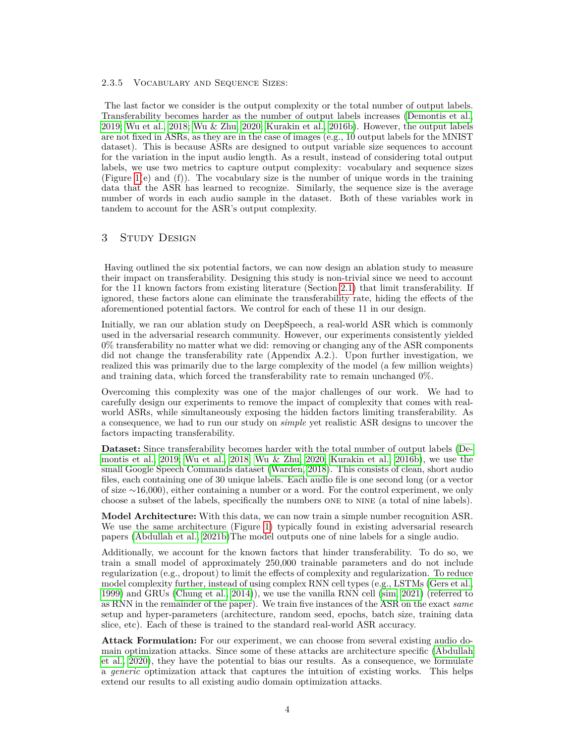#### 2.3.5 Vocabulary and Sequence Sizes:

The last factor we consider is the output complexity or the total number of output labels. Transferability becomes harder as the number of output labels increases [\(Demontis et al.,](#page-10-4) [2019;](#page-10-4) [Wu et al., 2018;](#page-12-3) [Wu & Zhu, 2020;](#page-12-5) [Kurakin et al., 2016b\)](#page-11-8). However, the output labels are not fixed in ASRs, as they are in the case of images (e.g., 10 output labels for the MNIST dataset). This is because ASRs are designed to output variable size sequences to account for the variation in the input audio length. As a result, instead of considering total output labels, we use two metrics to capture output complexity: vocabulary and sequence sizes (Figure [1\(](#page-2-1)e) and (f)). The vocabulary size is the number of unique words in the training data that the ASR has learned to recognize. Similarly, the sequence size is the average number of words in each audio sample in the dataset. Both of these variables work in tandem to account for the ASR's output complexity.

#### <span id="page-3-0"></span>3 Study Design

Having outlined the six potential factors, we can now design an ablation study to measure their impact on transferability. Designing this study is non-trivial since we need to account for the 11 known factors from existing literature (Section [2.1\)](#page-1-0) that limit transferability. If ignored, these factors alone can eliminate the transferability rate, hiding the effects of the aforementioned potential factors. We control for each of these 11 in our design.

Initially, we ran our ablation study on DeepSpeech, a real-world ASR which is commonly used in the adversarial research community. However, our experiments consistently yielded 0% transferability no matter what we did: removing or changing any of the ASR components did not change the transferability rate (Appendix A.2.). Upon further investigation, we realized this was primarily due to the large complexity of the model (a few million weights) and training data, which forced the transferability rate to remain unchanged 0%.

Overcoming this complexity was one of the major challenges of our work. We had to carefully design our experiments to remove the impact of complexity that comes with realworld ASRs, while simultaneously exposing the hidden factors limiting transferability. As a consequence, we had to run our study on *simple* yet realistic ASR designs to uncover the factors impacting transferability.

**Dataset:** Since transferability becomes harder with the total number of output labels [\(De](#page-10-4)[montis et al., 2019;](#page-10-4) [Wu et al., 2018;](#page-12-3) [Wu & Zhu, 2020;](#page-12-5) [Kurakin et al., 2016b\)](#page-11-8), we use the small Google Speech Commands dataset [\(Warden, 2018\)](#page-12-8). This consists of clean, short audio files, each containing one of 30 unique labels. Each audio file is one second long (or a vector of size ∼16,000), either containing a number or a word. For the control experiment, we only choose a subset of the labels, specifically the numbers one to nine (a total of nine labels).

**Model Architecture:** With this data, we can now train a simple number recognition ASR. We use the same architecture (Figure [1\)](#page-2-1) typically found in existing adversarial research papers [\(Abdullah et al., 2021b\)](#page-9-2)The model outputs one of nine labels for a single audio.

Additionally, we account for the known factors that hinder transferability. To do so, we train a small model of approximately 250,000 trainable parameters and do not include regularization (e.g., dropout) to limit the effects of complexity and regularization. To reduce model complexity further, instead of using complex RNN cell types (e.g., LSTMs [\(Gers et al.,](#page-10-6) [1999\)](#page-10-6) and GRUs [\(Chung et al., 2014\)](#page-10-7)), we use the vanilla RNN cell [\(sim, 2021\)](#page-9-3) (referred to as RNN in the remainder of the paper). We train five instances of the ASR on the exact *same* setup and hyper-parameters (architecture, random seed, epochs, batch size, training data slice, etc). Each of these is trained to the standard real-world ASR accuracy.

**Attack Formulation:** For our experiment, we can choose from several existing audio domain optimization attacks. Since some of these attacks are architecture specific [\(Abdullah](#page-9-4) [et al., 2020\)](#page-9-4), they have the potential to bias our results. As a consequence, we formulate a *generic* optimization attack that captures the intuition of existing works. This helps extend our results to all existing audio domain optimization attacks.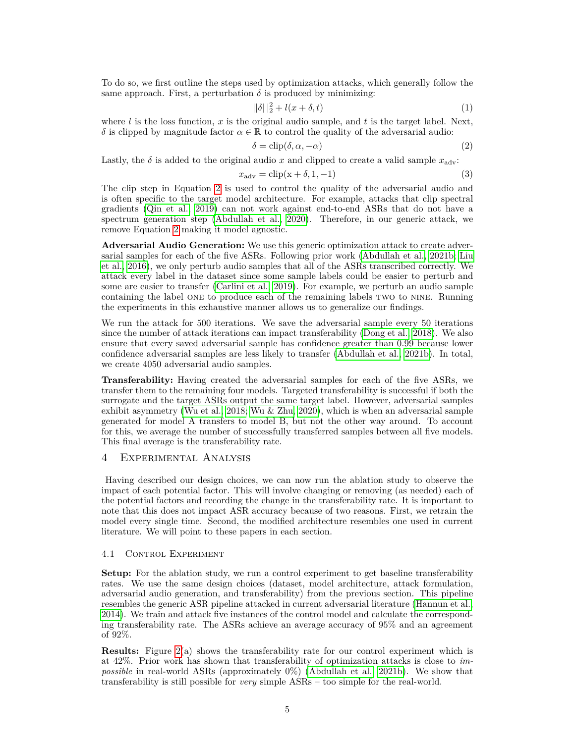To do so, we first outline the steps used by optimization attacks, which generally follow the same approach. First, a perturbation  $\delta$  is produced by minimizing:

$$
||\delta||_2^2 + l(x + \delta, t) \tag{1}
$$

where  $l$  is the loss function,  $x$  is the original audio sample, and  $t$  is the target label. Next, *δ* is clipped by magnitude factor  $\alpha \in \mathbb{R}$  to control the quality of the adversarial audio:

<span id="page-4-2"></span>
$$
\delta = \text{clip}(\delta, \alpha, -\alpha) \tag{2}
$$

Lastly, the  $\delta$  is added to the original audio *x* and clipped to create a valid sample  $x_{\text{adv}}$ :

$$
x_{\text{adv}} = \text{clip}(x + \delta, 1, -1) \tag{3}
$$

The clip step in Equation [2](#page-4-2) is used to control the quality of the adversarial audio and is often specific to the target model architecture. For example, attacks that clip spectral gradients [\(Qin et al., 2019\)](#page-11-9) can not work against end-to-end ASRs that do not have a spectrum generation step [\(Abdullah et al., 2020\)](#page-9-4). Therefore, in our generic attack, we remove Equation [2](#page-4-2) making it model agnostic.

**Adversarial Audio Generation:** We use this generic optimization attack to create adversarial samples for each of the five ASRs. Following prior work [\(Abdullah et al., 2021b;](#page-9-2) [Liu](#page-11-0) [et al., 2016\)](#page-11-0), we only perturb audio samples that all of the ASRs transcribed correctly. We attack every label in the dataset since some sample labels could be easier to perturb and some are easier to transfer [\(Carlini et al., 2019\)](#page-10-8). For example, we perturb an audio sample containing the label one to produce each of the remaining labels two to nine. Running the experiments in this exhaustive manner allows us to generalize our findings.

We run the attack for 500 iterations. We save the adversarial sample every 50 iterations since the number of attack iterations can impact transferability [\(Dong et al., 2018\)](#page-10-5). We also ensure that every saved adversarial sample has confidence greater than 0.99 because lower confidence adversarial samples are less likely to transfer [\(Abdullah et al., 2021b\)](#page-9-2). In total, we create 4050 adversarial audio samples.

**Transferability:** Having created the adversarial samples for each of the five ASRs, we transfer them to the remaining four models. Targeted transferability is successful if both the surrogate and the target ASRs output the same target label. However, adversarial samples exhibit asymmetry [\(Wu et al., 2018;](#page-12-3) [Wu & Zhu, 2020\)](#page-12-5), which is when an adversarial sample generated for model A transfers to model B, but not the other way around. To account for this, we average the number of successfully transferred samples between all five models. This final average is the transferability rate.

## <span id="page-4-1"></span>4 Experimental Analysis

Having described our design choices, we can now run the ablation study to observe the impact of each potential factor. This will involve changing or removing (as needed) each of the potential factors and recording the change in the transferability rate. It is important to note that this does not impact ASR accuracy because of two reasons. First, we retrain the model every single time. Second, the modified architecture resembles one used in current literature. We will point to these papers in each section.

#### <span id="page-4-0"></span>4.1 Control Experiment

**Setup:** For the ablation study, we run a control experiment to get baseline transferability rates. We use the same design choices (dataset, model architecture, attack formulation, adversarial audio generation, and transferability) from the previous section. This pipeline resembles the generic ASR pipeline attacked in current adversarial literature [\(Hannun et al.,](#page-11-10) [2014\)](#page-11-10). We train and attack five instances of the control model and calculate the corresponding transferability rate. The ASRs achieve an average accuracy of 95% and an agreement of 92%.

**Results:** Figure [2\(](#page-5-0)a) shows the transferability rate for our control experiment which is at 42%. Prior work has shown that transferability of optimization attacks is close to *impossible* in real-world ASRs (approximately 0%) [\(Abdullah et al., 2021b\)](#page-9-2). We show that transferability is still possible for *very* simple ASRs – too simple for the real-world.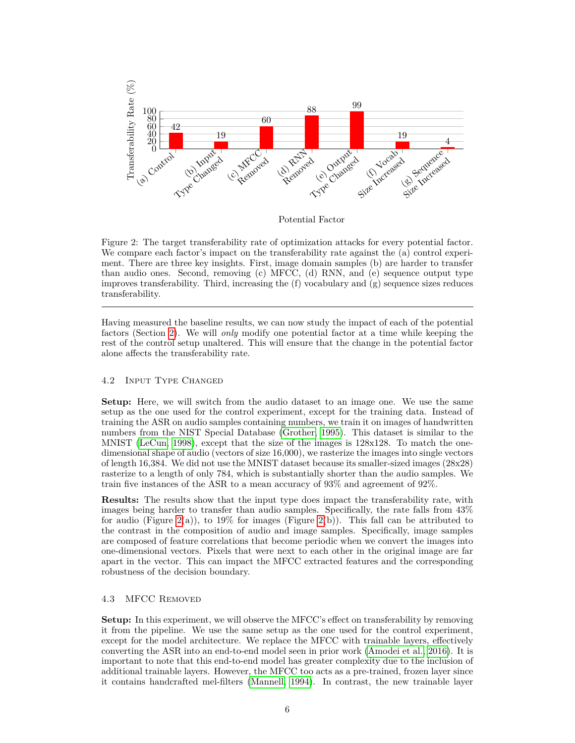

Potential Factor

<span id="page-5-0"></span>Figure 2: The target transferability rate of optimization attacks for every potential factor. We compare each factor's impact on the transferability rate against the (a) control experiment. There are three key insights. First, image domain samples (b) are harder to transfer than audio ones. Second, removing (c) MFCC, (d) RNN, and (e) sequence output type improves transferability. Third, increasing the  $(f)$  vocabulary and  $(g)$  sequence sizes reduces transferability.

Having measured the baseline results, we can now study the impact of each of the potential factors (Section [2\)](#page-1-1). We will *only* modify one potential factor at a time while keeping the rest of the control setup unaltered. This will ensure that the change in the potential factor alone affects the transferability rate.

## 4.2 Input Type Changed

**Setup:** Here, we will switch from the audio dataset to an image one. We use the same setup as the one used for the control experiment, except for the training data. Instead of training the ASR on audio samples containing numbers, we train it on images of handwritten numbers from the NIST Special Database [\(Grother, 1995\)](#page-11-11). This dataset is similar to the MNIST [\(LeCun, 1998\)](#page-11-12), except that the size of the images is 128x128. To match the onedimensional shape of audio (vectors of size 16,000), we rasterize the images into single vectors of length 16,384. We did not use the MNIST dataset because its smaller-sized images (28x28) rasterize to a length of only 784, which is substantially shorter than the audio samples. We train five instances of the ASR to a mean accuracy of 93% and agreement of 92%.

**Results:** The results show that the input type does impact the transferability rate, with images being harder to transfer than audio samples. Specifically, the rate falls from 43% for audio (Figure [2\(](#page-5-0)a)), to 19% for images (Figure 2(b)). This fall can be attributed to the contrast in the composition of audio and image samples. Specifically, image samples are composed of feature correlations that become periodic when we convert the images into one-dimensional vectors. Pixels that were next to each other in the original image are far apart in the vector. This can impact the MFCC extracted features and the corresponding robustness of the decision boundary.

## 4.3 MFCC Removed

**Setup:** In this experiment, we will observe the MFCC's effect on transferability by removing it from the pipeline. We use the same setup as the one used for the control experiment, except for the model architecture. We replace the MFCC with trainable layers, effectively converting the ASR into an end-to-end model seen in prior work [\(Amodei et al., 2016\)](#page-9-5). It is important to note that this end-to-end model has greater complexity due to the inclusion of additional trainable layers. However, the MFCC too acts as a pre-trained, frozen layer since it contains handcrafted mel-filters [\(Mannell, 1994\)](#page-11-7). In contrast, the new trainable layer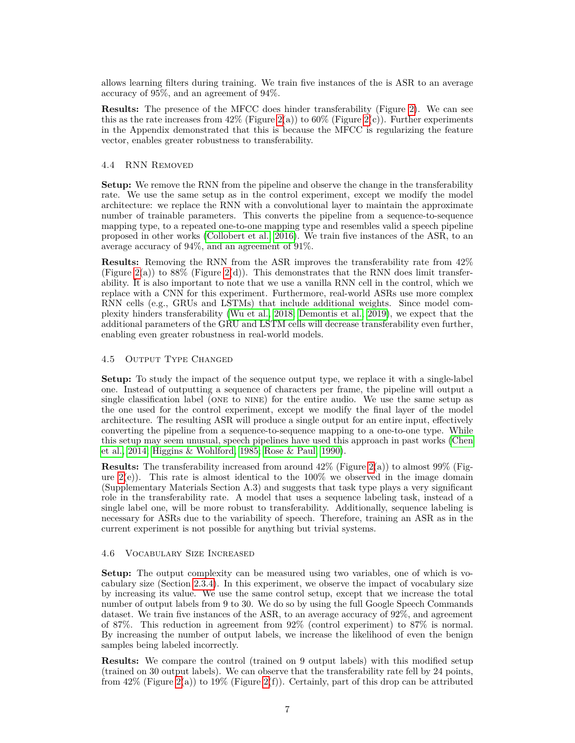allows learning filters during training. We train five instances of the is ASR to an average accuracy of 95%, and an agreement of 94%.

**Results:** The presence of the MFCC does hinder transferability (Figure [2\)](#page-5-0). We can see this as the rate increases from  $42\%$  (Figure [2\(](#page-5-0)a)) to  $60\%$  (Figure 2(c)). Further experiments in the Appendix demonstrated that this is because the MFCC is regularizing the feature vector, enables greater robustness to transferability.

#### 4.4 RNN Removed

**Setup:** We remove the RNN from the pipeline and observe the change in the transferability rate. We use the same setup as in the control experiment, except we modify the model architecture: we replace the RNN with a convolutional layer to maintain the approximate number of trainable parameters. This converts the pipeline from a sequence-to-sequence mapping type, to a repeated one-to-one mapping type and resembles valid a speech pipeline proposed in other works [\(Collobert et al., 2016\)](#page-10-9). We train five instances of the ASR, to an average accuracy of 94%, and an agreement of 91%.

**Results:** Removing the RNN from the ASR improves the transferability rate from 42% (Figure [2\(](#page-5-0)a)) to 88% (Figure 2(d)). This demonstrates that the RNN does limit transferability. It is also important to note that we use a vanilla RNN cell in the control, which we replace with a CNN for this experiment. Furthermore, real-world ASRs use more complex RNN cells (e.g., GRUs and LSTMs) that include additional weights. Since model complexity hinders transferability [\(Wu et al., 2018;](#page-12-3) [Demontis et al., 2019\)](#page-10-4), we expect that the additional parameters of the GRU and LSTM cells will decrease transferability even further, enabling even greater robustness in real-world models.

#### 4.5 Output Type Changed

**Setup:** To study the impact of the sequence output type, we replace it with a single-label one. Instead of outputting a sequence of characters per frame, the pipeline will output a single classification label (one to nine) for the entire audio. We use the same setup as the one used for the control experiment, except we modify the final layer of the model architecture. The resulting ASR will produce a single output for an entire input, effectively converting the pipeline from a sequence-to-sequence mapping to a one-to-one type. While this setup may seem unusual, speech pipelines have used this approach in past works [\(Chen](#page-10-10) [et al., 2014;](#page-10-10) [Higgins & Wohlford, 1985;](#page-11-13) [Rose & Paul, 1990\)](#page-12-9).

**Results:** The transferability increased from around  $42\%$  (Figure [2\(](#page-5-0)a)) to almost  $99\%$  (Figure  $2(e)$ ). This rate is almost identical to the 100% we observed in the image domain (Supplementary Materials Section A.3) and suggests that task type plays a very significant role in the transferability rate. A model that uses a sequence labeling task, instead of a single label one, will be more robust to transferability. Additionally, sequence labeling is necessary for ASRs due to the variability of speech. Therefore, training an ASR as in the current experiment is not possible for anything but trivial systems.

#### 4.6 Vocabulary Size Increased

**Setup:** The output complexity can be measured using two variables, one of which is vocabulary size (Section [2.3.4\)](#page-2-2). In this experiment, we observe the impact of vocabulary size by increasing its value. We use the same control setup, except that we increase the total number of output labels from 9 to 30. We do so by using the full Google Speech Commands dataset. We train five instances of the ASR, to an average accuracy of 92%, and agreement of 87%. This reduction in agreement from 92% (control experiment) to 87% is normal. By increasing the number of output labels, we increase the likelihood of even the benign samples being labeled incorrectly.

**Results:** We compare the control (trained on 9 output labels) with this modified setup (trained on 30 output labels). We can observe that the transferability rate fell by 24 points, from 42% (Figure [2\(](#page-5-0)a)) to 19% (Figure 2(f)). Certainly, part of this drop can be attributed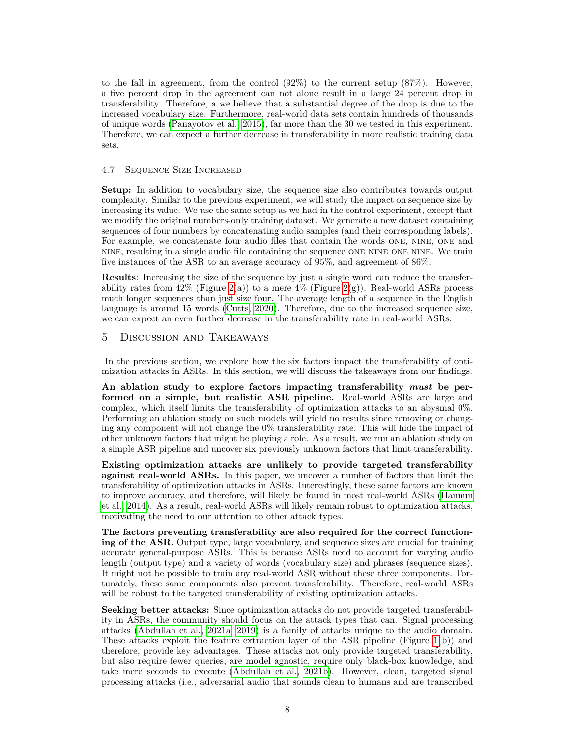to the fall in agreement, from the control  $(92\%)$  to the current setup  $(87\%)$ . However, a five percent drop in the agreement can not alone result in a large 24 percent drop in transferability. Therefore, a we believe that a substantial degree of the drop is due to the increased vocabulary size. Furthermore, real-world data sets contain hundreds of thousands of unique words [\(Panayotov et al., 2015\)](#page-11-14), far more than the 30 we tested in this experiment. Therefore, we can expect a further decrease in transferability in more realistic training data sets.

#### 4.7 Sequence Size Increased

**Setup:** In addition to vocabulary size, the sequence size also contributes towards output complexity. Similar to the previous experiment, we will study the impact on sequence size by increasing its value. We use the same setup as we had in the control experiment, except that we modify the original numbers-only training dataset. We generate a new dataset containing sequences of four numbers by concatenating audio samples (and their corresponding labels). For example, we concatenate four audio files that contain the words one, nine, one and nine, resulting in a single audio file containing the sequence one nine one nine. We train five instances of the ASR to an average accuracy of 95%, and agreement of 86%.

**Results**: Increasing the size of the sequence by just a single word can reduce the transferability rates from  $42\%$  (Figure  $2(a)$ ) to a mere  $4\%$  (Figure  $2(g)$ ). Real-world ASRs process much longer sequences than just size four. The average length of a sequence in the English language is around 15 words [\(Cutts, 2020\)](#page-10-11). Therefore, due to the increased sequence size, we can expect an even further decrease in the transferability rate in real-world ASRs.

# <span id="page-7-0"></span>5 Discussion and Takeaways

In the previous section, we explore how the six factors impact the transferability of optimization attacks in ASRs. In this section, we will discuss the takeaways from our findings.

**An ablation study to explore factors impacting transferability** *must* **be performed on a simple, but realistic ASR pipeline.** Real-world ASRs are large and complex, which itself limits the transferability of optimization attacks to an abysmal 0%. Performing an ablation study on such models will yield no results since removing or changing any component will not change the 0% transferability rate. This will hide the impact of other unknown factors that might be playing a role. As a result, we run an ablation study on a simple ASR pipeline and uncover six previously unknown factors that limit transferability.

**Existing optimization attacks are unlikely to provide targeted transferability against real-world ASRs.** In this paper, we uncover a number of factors that limit the transferability of optimization attacks in ASRs. Interestingly, these same factors are known to improve accuracy, and therefore, will likely be found in most real-world ASRs [\(Hannun](#page-11-10) [et al., 2014\)](#page-11-10). As a result, real-world ASRs will likely remain robust to optimization attacks, motivating the need to our attention to other attack types.

**The factors preventing transferability are also required for the correct functioning of the ASR.** Output type, large vocabulary, and sequence sizes are crucial for training accurate general-purpose ASRs. This is because ASRs need to account for varying audio length (output type) and a variety of words (vocabulary size) and phrases (sequence sizes). It might not be possible to train any real-world ASR without these three components. Fortunately, these same components also prevent transferability. Therefore, real-world ASRs will be robust to the targeted transferability of existing optimization attacks.

**Seeking better attacks:** Since optimization attacks do not provide targeted transferability in ASRs, the community should focus on the attack types that can. Signal processing attacks [\(Abdullah et al., 2021a;](#page-9-6) [2019\)](#page-9-7) is a family of attacks unique to the audio domain. These attacks exploit the feature extraction layer of the ASR pipeline (Figure [1\(](#page-2-1)b)) and therefore, provide key advantages. These attacks not only provide targeted transferability, but also require fewer queries, are model agnostic, require only black-box knowledge, and take mere seconds to execute [\(Abdullah et al., 2021b\)](#page-9-2). However, clean, targeted signal processing attacks (i.e., adversarial audio that sounds clean to humans and are transcribed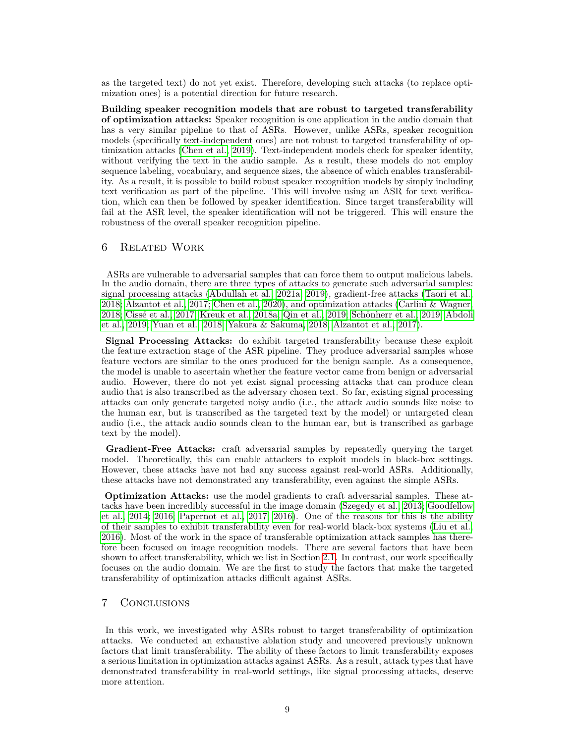as the targeted text) do not yet exist. Therefore, developing such attacks (to replace optimization ones) is a potential direction for future research.

**Building speaker recognition models that are robust to targeted transferability of optimization attacks:** Speaker recognition is one application in the audio domain that has a very similar pipeline to that of ASRs. However, unlike ASRs, speaker recognition models (specifically text-independent ones) are not robust to targeted transferability of optimization attacks [\(Chen et al., 2019\)](#page-10-2). Text-independent models check for speaker identity, without verifying the text in the audio sample. As a result, these models do not employ sequence labeling, vocabulary, and sequence sizes, the absence of which enables transferability. As a result, it is possible to build robust speaker recognition models by simply including text verification as part of the pipeline. This will involve using an ASR for text verification, which can then be followed by speaker identification. Since target transferability will fail at the ASR level, the speaker identification will not be triggered. This will ensure the robustness of the overall speaker recognition pipeline.

## <span id="page-8-0"></span>6 Related Work

ASRs are vulnerable to adversarial samples that can force them to output malicious labels. In the audio domain, there are three types of attacks to generate such adversarial samples: signal processing attacks [\(Abdullah et al., 2021a;](#page-9-6) [2019\)](#page-9-7), gradient-free attacks [\(Taori et al.,](#page-12-10) [2018;](#page-12-10) [Alzantot et al., 2017;](#page-9-8) [Chen et al., 2020\)](#page-10-12), and optimization attacks [\(Carlini & Wagner,](#page-10-13) [2018;](#page-10-13) [Cissé et al., 2017;](#page-10-14) [Kreuk et al., 2018a;](#page-11-15) [Qin et al., 2019;](#page-11-9) [Schönherr et al., 2019;](#page-12-11) [Abdoli](#page-9-9) [et al., 2019;](#page-9-9) [Yuan et al., 2018;](#page-12-12) [Yakura & Sakuma, 2018;](#page-12-13) [Alzantot et al., 2017\)](#page-9-8).

**Signal Processing Attacks:** do exhibit targeted transferability because these exploit the feature extraction stage of the ASR pipeline. They produce adversarial samples whose feature vectors are similar to the ones produced for the benign sample. As a consequence, the model is unable to ascertain whether the feature vector came from benign or adversarial audio. However, there do not yet exist signal processing attacks that can produce clean audio that is also transcribed as the adversary chosen text. So far, existing signal processing attacks can only generate targeted noisy audio (i.e., the attack audio sounds like noise to the human ear, but is transcribed as the targeted text by the model) or untargeted clean audio (i.e., the attack audio sounds clean to the human ear, but is transcribed as garbage text by the model).

**Gradient-Free Attacks:** craft adversarial samples by repeatedly querying the target model. Theoretically, this can enable attackers to exploit models in black-box settings. However, these attacks have not had any success against real-world ASRs. Additionally, these attacks have not demonstrated any transferability, even against the simple ASRs.

**Optimization Attacks:** use the model gradients to craft adversarial samples. These attacks have been incredibly successful in the image domain [\(Szegedy et al., 2013;](#page-12-14) [Goodfellow](#page-10-15) [et al., 2014;](#page-10-15) [2016;](#page-10-16) [Papernot et al., 2017;](#page-11-16) [2016\)](#page-11-17). One of the reasons for this is the ability of their samples to exhibit transferability even for real-world black-box systems [\(Liu et al.,](#page-11-0) [2016\)](#page-11-0). Most of the work in the space of transferable optimization attack samples has therefore been focused on image recognition models. There are several factors that have been shown to affect transferability, which we list in Section [2.1.](#page-1-0) In contrast, our work specifically focuses on the audio domain. We are the first to study the factors that make the targeted transferability of optimization attacks difficult against ASRs.

## <span id="page-8-1"></span>7 Conclusions

In this work, we investigated why ASRs robust to target transferability of optimization attacks. We conducted an exhaustive ablation study and uncovered previously unknown factors that limit transferability. The ability of these factors to limit transferability exposes a serious limitation in optimization attacks against ASRs. As a result, attack types that have demonstrated transferability in real-world settings, like signal processing attacks, deserve more attention.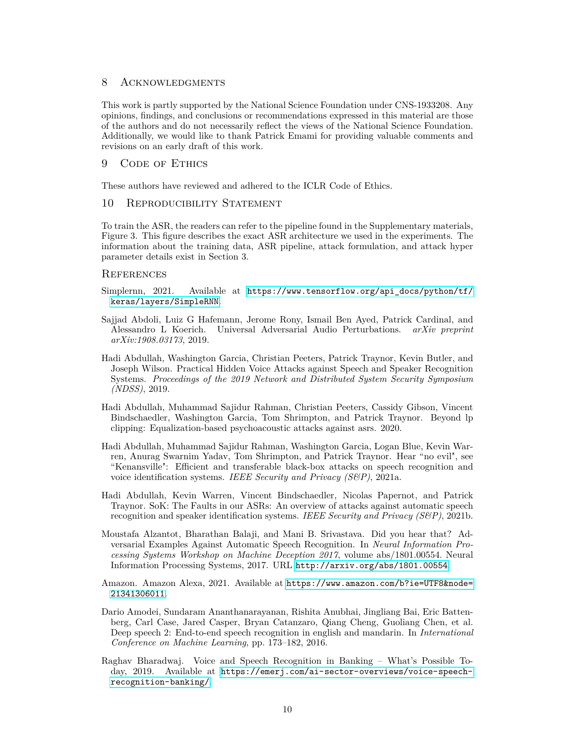## 8 ACKNOWLEDGMENTS

This work is partly supported by the National Science Foundation under CNS-1933208. Any opinions, findings, and conclusions or recommendations expressed in this material are those of the authors and do not necessarily reflect the views of the National Science Foundation. Additionally, we would like to thank Patrick Emami for providing valuable comments and revisions on an early draft of this work.

### 9 CODE OF ETHICS

These authors have reviewed and adhered to the ICLR Code of Ethics.

## 10 REPRODUCIBILITY STATEMENT

To train the ASR, the readers can refer to the pipeline found in the Supplementary materials, Figure 3. This figure describes the exact ASR architecture we used in the experiments. The information about the training data, ASR pipeline, attack formulation, and attack hyper parameter details exist in Section 3.

#### **REFERENCES**

- <span id="page-9-3"></span>Simplernn, 2021. Available at [https://www.tensorflow.org/api\\_docs/python/tf/](https://www.tensorflow.org/api_docs/python/tf/keras/layers/SimpleRNN) [keras/layers/SimpleRNN](https://www.tensorflow.org/api_docs/python/tf/keras/layers/SimpleRNN).
- <span id="page-9-9"></span>Sajjad Abdoli, Luiz G Hafemann, Jerome Rony, Ismail Ben Ayed, Patrick Cardinal, and Alessandro L Koerich. Universal Adversarial Audio Perturbations. *arXiv preprint arXiv:1908.03173*, 2019.
- <span id="page-9-7"></span>Hadi Abdullah, Washington Garcia, Christian Peeters, Patrick Traynor, Kevin Butler, and Joseph Wilson. Practical Hidden Voice Attacks against Speech and Speaker Recognition Systems. *Proceedings of the 2019 Network and Distributed System Security Symposium (NDSS)*, 2019.
- <span id="page-9-4"></span>Hadi Abdullah, Muhammad Sajidur Rahman, Christian Peeters, Cassidy Gibson, Vincent Bindschaedler, Washington Garcia, Tom Shrimpton, and Patrick Traynor. Beyond lp clipping: Equalization-based psychoacoustic attacks against asrs. 2020.
- <span id="page-9-6"></span>Hadi Abdullah, Muhammad Sajidur Rahman, Washington Garcia, Logan Blue, Kevin Warren, Anurag Swarnim Yadav, Tom Shrimpton, and Patrick Traynor. Hear "no evil", see "Kenansville": Efficient and transferable black-box attacks on speech recognition and voice identification systems. *IEEE Security and Privacy (S&P)*, 2021a.
- <span id="page-9-2"></span>Hadi Abdullah, Kevin Warren, Vincent Bindschaedler, Nicolas Papernot, and Patrick Traynor. SoK: The Faults in our ASRs: An overview of attacks against automatic speech recognition and speaker identification systems. *IEEE Security and Privacy (S&P)*, 2021b.
- <span id="page-9-8"></span>Moustafa Alzantot, Bharathan Balaji, and Mani B. Srivastava. Did you hear that? Adversarial Examples Against Automatic Speech Recognition. In *Neural Information Processing Systems Workshop on Machine Deception 2017*, volume abs/1801.00554. Neural Information Processing Systems, 2017. URL <http://arxiv.org/abs/1801.00554>.
- <span id="page-9-0"></span>Amazon. Amazon Alexa, 2021. Available at [https://www.amazon.com/b?ie=UTF8&node=](https://www.amazon.com/b?ie=UTF8&node=21341306011) [21341306011](https://www.amazon.com/b?ie=UTF8&node=21341306011).
- <span id="page-9-5"></span>Dario Amodei, Sundaram Ananthanarayanan, Rishita Anubhai, Jingliang Bai, Eric Battenberg, Carl Case, Jared Casper, Bryan Catanzaro, Qiang Cheng, Guoliang Chen, et al. Deep speech 2: End-to-end speech recognition in english and mandarin. In *International Conference on Machine Learning*, pp. 173–182, 2016.
- <span id="page-9-1"></span>Raghav Bharadwaj. Voice and Speech Recognition in Banking – What's Possible Today, 2019. Available at [https://emerj.com/ai-sector-overviews/voice-speech](https://emerj.com/ai-sector-overviews/voice-speech-recognition-banking/)[recognition-banking/](https://emerj.com/ai-sector-overviews/voice-speech-recognition-banking/).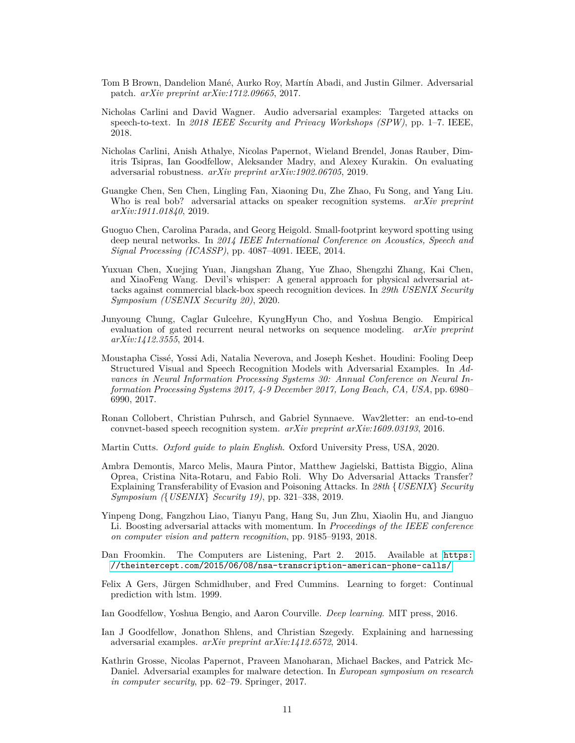- <span id="page-10-1"></span>Tom B Brown, Dandelion Mané, Aurko Roy, Martín Abadi, and Justin Gilmer. Adversarial patch. *arXiv preprint arXiv:1712.09665*, 2017.
- <span id="page-10-13"></span>Nicholas Carlini and David Wagner. Audio adversarial examples: Targeted attacks on speech-to-text. In *2018 IEEE Security and Privacy Workshops (SPW)*, pp. 1–7. IEEE, 2018.
- <span id="page-10-8"></span>Nicholas Carlini, Anish Athalye, Nicolas Papernot, Wieland Brendel, Jonas Rauber, Dimitris Tsipras, Ian Goodfellow, Aleksander Madry, and Alexey Kurakin. On evaluating adversarial robustness. *arXiv preprint arXiv:1902.06705*, 2019.
- <span id="page-10-2"></span>Guangke Chen, Sen Chen, Lingling Fan, Xiaoning Du, Zhe Zhao, Fu Song, and Yang Liu. Who is real bob? adversarial attacks on speaker recognition systems. *arXiv preprint arXiv:1911.01840*, 2019.
- <span id="page-10-10"></span>Guoguo Chen, Carolina Parada, and Georg Heigold. Small-footprint keyword spotting using deep neural networks. In *2014 IEEE International Conference on Acoustics, Speech and Signal Processing (ICASSP)*, pp. 4087–4091. IEEE, 2014.
- <span id="page-10-12"></span>Yuxuan Chen, Xuejing Yuan, Jiangshan Zhang, Yue Zhao, Shengzhi Zhang, Kai Chen, and XiaoFeng Wang. Devil's whisper: A general approach for physical adversarial attacks against commercial black-box speech recognition devices. In *29th USENIX Security Symposium (USENIX Security 20)*, 2020.
- <span id="page-10-7"></span>Junyoung Chung, Caglar Gulcehre, KyungHyun Cho, and Yoshua Bengio. Empirical evaluation of gated recurrent neural networks on sequence modeling. *arXiv preprint arXiv:1412.3555*, 2014.
- <span id="page-10-14"></span>Moustapha Cissé, Yossi Adi, Natalia Neverova, and Joseph Keshet. Houdini: Fooling Deep Structured Visual and Speech Recognition Models with Adversarial Examples. In *Advances in Neural Information Processing Systems 30: Annual Conference on Neural Information Processing Systems 2017, 4-9 December 2017, Long Beach, CA, USA*, pp. 6980– 6990, 2017.
- <span id="page-10-9"></span>Ronan Collobert, Christian Puhrsch, and Gabriel Synnaeve. Wav2letter: an end-to-end convnet-based speech recognition system. *arXiv preprint arXiv:1609.03193*, 2016.
- <span id="page-10-11"></span>Martin Cutts. *Oxford guide to plain English*. Oxford University Press, USA, 2020.
- <span id="page-10-4"></span>Ambra Demontis, Marco Melis, Maura Pintor, Matthew Jagielski, Battista Biggio, Alina Oprea, Cristina Nita-Rotaru, and Fabio Roli. Why Do Adversarial Attacks Transfer? Explaining Transferability of Evasion and Poisoning Attacks. In *28th* {*USENIX*} *Security Symposium (*{*USENIX*} *Security 19)*, pp. 321–338, 2019.
- <span id="page-10-5"></span>Yinpeng Dong, Fangzhou Liao, Tianyu Pang, Hang Su, Jun Zhu, Xiaolin Hu, and Jianguo Li. Boosting adversarial attacks with momentum. In *Proceedings of the IEEE conference on computer vision and pattern recognition*, pp. 9185–9193, 2018.
- <span id="page-10-0"></span>Dan Froomkin. The Computers are Listening, Part 2. 2015. Available at [https:](https://theintercept.com/2015/06/08/nsa-transcription-american-phone-calls/) [//theintercept.com/2015/06/08/nsa-transcription-american-phone-calls/](https://theintercept.com/2015/06/08/nsa-transcription-american-phone-calls/).
- <span id="page-10-6"></span>Felix A Gers, Jürgen Schmidhuber, and Fred Cummins. Learning to forget: Continual prediction with lstm. 1999.
- <span id="page-10-16"></span>Ian Goodfellow, Yoshua Bengio, and Aaron Courville. *Deep learning*. MIT press, 2016.
- <span id="page-10-15"></span>Ian J Goodfellow, Jonathon Shlens, and Christian Szegedy. Explaining and harnessing adversarial examples. *arXiv preprint arXiv:1412.6572*, 2014.
- <span id="page-10-3"></span>Kathrin Grosse, Nicolas Papernot, Praveen Manoharan, Michael Backes, and Patrick Mc-Daniel. Adversarial examples for malware detection. In *European symposium on research in computer security*, pp. 62–79. Springer, 2017.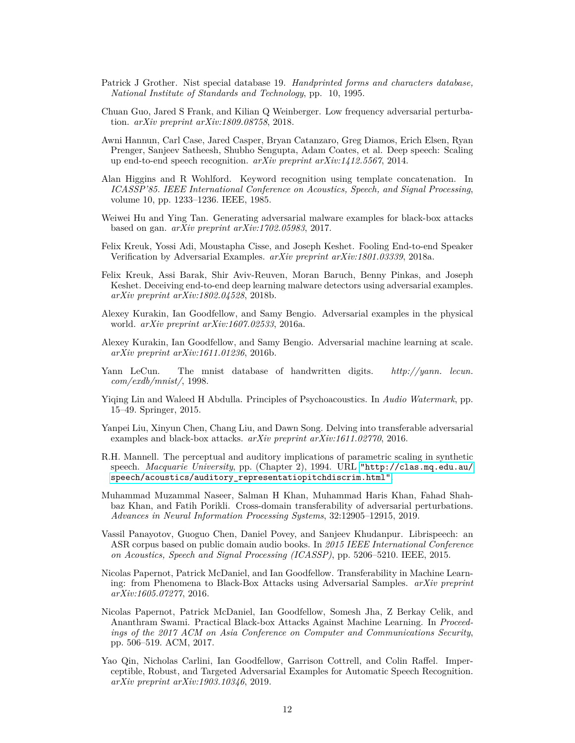- <span id="page-11-11"></span>Patrick J Grother. Nist special database 19. *Handprinted forms and characters database, National Institute of Standards and Technology*, pp. 10, 1995.
- <span id="page-11-4"></span>Chuan Guo, Jared S Frank, and Kilian Q Weinberger. Low frequency adversarial perturbation. *arXiv preprint arXiv:1809.08758*, 2018.
- <span id="page-11-10"></span>Awni Hannun, Carl Case, Jared Casper, Bryan Catanzaro, Greg Diamos, Erich Elsen, Ryan Prenger, Sanjeev Satheesh, Shubho Sengupta, Adam Coates, et al. Deep speech: Scaling up end-to-end speech recognition. *arXiv preprint arXiv:1412.5567*, 2014.
- <span id="page-11-13"></span>Alan Higgins and R Wohlford. Keyword recognition using template concatenation. In *ICASSP'85. IEEE International Conference on Acoustics, Speech, and Signal Processing*, volume 10, pp. 1233–1236. IEEE, 1985.
- <span id="page-11-1"></span>Weiwei Hu and Ying Tan. Generating adversarial malware examples for black-box attacks based on gan. *arXiv preprint arXiv:1702.05983*, 2017.
- <span id="page-11-15"></span>Felix Kreuk, Yossi Adi, Moustapha Cisse, and Joseph Keshet. Fooling End-to-end Speaker Verification by Adversarial Examples. *arXiv preprint arXiv:1801.03339*, 2018a.
- <span id="page-11-2"></span>Felix Kreuk, Assi Barak, Shir Aviv-Reuven, Moran Baruch, Benny Pinkas, and Joseph Keshet. Deceiving end-to-end deep learning malware detectors using adversarial examples. *arXiv preprint arXiv:1802.04528*, 2018b.
- <span id="page-11-3"></span>Alexey Kurakin, Ian Goodfellow, and Samy Bengio. Adversarial examples in the physical world. *arXiv preprint arXiv:1607.02533*, 2016a.
- <span id="page-11-8"></span>Alexey Kurakin, Ian Goodfellow, and Samy Bengio. Adversarial machine learning at scale. *arXiv preprint arXiv:1611.01236*, 2016b.
- <span id="page-11-12"></span>Yann LeCun. The mnist database of handwritten digits. *http://yann. lecun. com/exdb/mnist/*, 1998.
- <span id="page-11-5"></span>Yiqing Lin and Waleed H Abdulla. Principles of Psychoacoustics. In *Audio Watermark*, pp. 15–49. Springer, 2015.
- <span id="page-11-0"></span>Yanpei Liu, Xinyun Chen, Chang Liu, and Dawn Song. Delving into transferable adversarial examples and black-box attacks. *arXiv preprint arXiv:1611.02770*, 2016.
- <span id="page-11-7"></span>R.H. Mannell. The perceptual and auditory implications of parametric scaling in synthetic speech. *Macquarie University*, pp. (Chapter 2), 1994. URL ["http://clas.mq.edu.au/]("http://clas.mq.edu.au/speech/acoustics/auditory_representatiopitchdiscrim.html") [speech/acoustics/auditory\\_representatiopitchdiscrim.html"]("http://clas.mq.edu.au/speech/acoustics/auditory_representatiopitchdiscrim.html").
- <span id="page-11-6"></span>Muhammad Muzammal Naseer, Salman H Khan, Muhammad Haris Khan, Fahad Shahbaz Khan, and Fatih Porikli. Cross-domain transferability of adversarial perturbations. *Advances in Neural Information Processing Systems*, 32:12905–12915, 2019.
- <span id="page-11-14"></span>Vassil Panayotov, Guoguo Chen, Daniel Povey, and Sanjeev Khudanpur. Librispeech: an ASR corpus based on public domain audio books. In *2015 IEEE International Conference on Acoustics, Speech and Signal Processing (ICASSP)*, pp. 5206–5210. IEEE, 2015.
- <span id="page-11-17"></span>Nicolas Papernot, Patrick McDaniel, and Ian Goodfellow. Transferability in Machine Learning: from Phenomena to Black-Box Attacks using Adversarial Samples. *arXiv preprint arXiv:1605.07277*, 2016.
- <span id="page-11-16"></span>Nicolas Papernot, Patrick McDaniel, Ian Goodfellow, Somesh Jha, Z Berkay Celik, and Ananthram Swami. Practical Black-box Attacks Against Machine Learning. In *Proceedings of the 2017 ACM on Asia Conference on Computer and Communications Security*, pp. 506–519. ACM, 2017.
- <span id="page-11-9"></span>Yao Qin, Nicholas Carlini, Ian Goodfellow, Garrison Cottrell, and Colin Raffel. Imperceptible, Robust, and Targeted Adversarial Examples for Automatic Speech Recognition. *arXiv preprint arXiv:1903.10346*, 2019.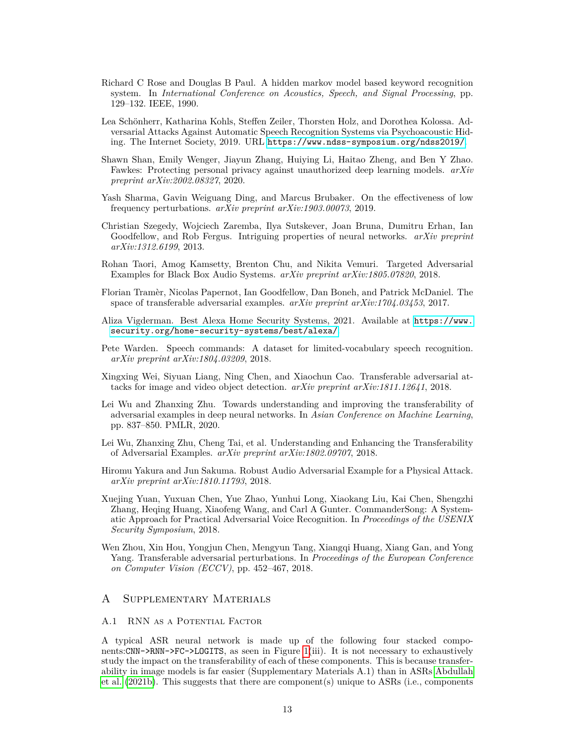- <span id="page-12-9"></span>Richard C Rose and Douglas B Paul. A hidden markov model based keyword recognition system. In *International Conference on Acoustics, Speech, and Signal Processing*, pp. 129–132. IEEE, 1990.
- <span id="page-12-11"></span>Lea Schönherr, Katharina Kohls, Steffen Zeiler, Thorsten Holz, and Dorothea Kolossa. Adversarial Attacks Against Automatic Speech Recognition Systems via Psychoacoustic Hiding. The Internet Society, 2019. URL <https://www.ndss-symposium.org/ndss2019/>.
- <span id="page-12-1"></span>Shawn Shan, Emily Wenger, Jiayun Zhang, Huiying Li, Haitao Zheng, and Ben Y Zhao. Fawkes: Protecting personal privacy against unauthorized deep learning models. *arXiv preprint arXiv:2002.08327*, 2020.
- <span id="page-12-4"></span>Yash Sharma, Gavin Weiguang Ding, and Marcus Brubaker. On the effectiveness of low frequency perturbations. *arXiv preprint arXiv:1903.00073*, 2019.
- <span id="page-12-14"></span>Christian Szegedy, Wojciech Zaremba, Ilya Sutskever, Joan Bruna, Dumitru Erhan, Ian Goodfellow, and Rob Fergus. Intriguing properties of neural networks. *arXiv preprint arXiv:1312.6199*, 2013.
- <span id="page-12-10"></span>Rohan Taori, Amog Kamsetty, Brenton Chu, and Nikita Vemuri. Targeted Adversarial Examples for Black Box Audio Systems. *arXiv preprint arXiv:1805.07820*, 2018.
- <span id="page-12-6"></span>Florian Tramèr, Nicolas Papernot, Ian Goodfellow, Dan Boneh, and Patrick McDaniel. The space of transferable adversarial examples. *arXiv preprint arXiv:1704.03453*, 2017.
- <span id="page-12-0"></span>Aliza Vigderman. Best Alexa Home Security Systems, 2021. Available at [https://www.](https://www.security.org/home-security-systems/best/alexa/) [security.org/home-security-systems/best/alexa/](https://www.security.org/home-security-systems/best/alexa/).
- <span id="page-12-8"></span>Pete Warden. Speech commands: A dataset for limited-vocabulary speech recognition. *arXiv preprint arXiv:1804.03209*, 2018.
- <span id="page-12-7"></span>Xingxing Wei, Siyuan Liang, Ning Chen, and Xiaochun Cao. Transferable adversarial attacks for image and video object detection. *arXiv preprint arXiv:1811.12641*, 2018.
- <span id="page-12-5"></span>Lei Wu and Zhanxing Zhu. Towards understanding and improving the transferability of adversarial examples in deep neural networks. In *Asian Conference on Machine Learning*, pp. 837–850. PMLR, 2020.
- <span id="page-12-3"></span>Lei Wu, Zhanxing Zhu, Cheng Tai, et al. Understanding and Enhancing the Transferability of Adversarial Examples. *arXiv preprint arXiv:1802.09707*, 2018.
- <span id="page-12-13"></span>Hiromu Yakura and Jun Sakuma. Robust Audio Adversarial Example for a Physical Attack. *arXiv preprint arXiv:1810.11793*, 2018.
- <span id="page-12-12"></span>Xuejing Yuan, Yuxuan Chen, Yue Zhao, Yunhui Long, Xiaokang Liu, Kai Chen, Shengzhi Zhang, Heqing Huang, Xiaofeng Wang, and Carl A Gunter. CommanderSong: A Systematic Approach for Practical Adversarial Voice Recognition. In *Proceedings of the USENIX Security Symposium*, 2018.
- <span id="page-12-2"></span>Wen Zhou, Xin Hou, Yongjun Chen, Mengyun Tang, Xiangqi Huang, Xiang Gan, and Yong Yang. Transferable adversarial perturbations. In *Proceedings of the European Conference on Computer Vision (ECCV)*, pp. 452–467, 2018.

# A Supplementary Materials

#### A.1 RNN as a Potential Factor

A typical ASR neural network is made up of the following four stacked components:CNN->RNN->FC->LOGITS, as seen in Figure [1\(](#page-2-1)iii). It is not necessary to exhaustively study the impact on the transferability of each of these components. This is because transferability in image models is far easier (Supplementary Materials A.1) than in ASRs [Abdullah](#page-9-2) [et al.](#page-9-2) [\(2021b\)](#page-9-2). This suggests that there are component(s) unique to ASRs (i.e., components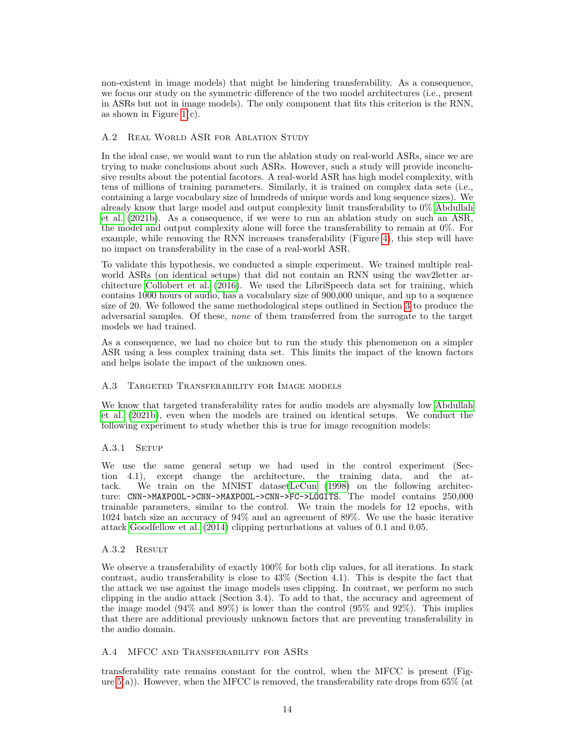non-existent in image models) that might be hindering transferability. As a consequence, we focus our study on the symmetric difference of the two model architectures (i.e., present in ASRs but not in image models). The only component that fits this criterion is the RNN, as shown in Figure  $1(c)$ .

## A.2 Real World ASR for Ablation Study

In the ideal case, we would want to run the ablation study on real-world ASRs, since we are trying to make conclusions about such ASRs. However, such a study will provide inconclusive results about the potential facotors. A real-world ASR has high model complexity, with tens of millions of training parameters. Similarly, it is trained on complex data sets (i.e., containing a large vocabulary size of hundreds of unique words and long sequence sizes). We already know that large model and output complexity limit transferability to 0% [Abdullah](#page-9-2) [et al.](#page-9-2) [\(2021b\)](#page-9-2). As a consequence, if we were to run an ablation study on such an ASR, the model and output complexity alone will force the transferability to remain at 0%. For example, while removing the RNN increases transferability (Figure [4\)](#page-15-0), this step will have no impact on transferability in the case of a real-world ASR.

To validate this hypothesis, we conducted a simple experiment. We trained multiple realworld ASRs (on identical setups) that did not contain an RNN using the wav2letter architecture [Collobert et al.](#page-10-9) [\(2016\)](#page-10-9). We used the LibriSpeech data set for training, which contains 1000 hours of audio, has a vocabulary size of 900,000 unique, and up to a sequence size of 20. We followed the same methodological steps outlined in Section [3](#page-3-0) to produce the adversarial samples. Of these, *none* of them transferred from the surrogate to the target models we had trained.

As a consequence, we had no choice but to run the study this phenomenon on a simpler ASR using a less complex training data set. This limits the impact of the known factors and helps isolate the impact of the unknown ones.

#### A.3 Targeted Transferability for Image models

We know that targeted transferability rates for audio models are abysmally low [Abdullah](#page-9-2) [et al.](#page-9-2) [\(2021b\)](#page-9-2), even when the models are trained on identical setups. We conduct the following experiment to study whether this is true for image recognition models:

## A.3.1 SETUP

We use the same general setup we had used in the control experiment (Section 4.1), except change the architecture, the training data, and the attack. We train on the MNIST datase[tLeCun](#page-11-12) [\(1998\)](#page-11-12) on the following architecture: CNN->MAXPOOL->CNN->MAXPOOL->CNN->FC->LOGITS. The model contains 250,000 trainable parameters, similar to the control. We train the models for 12 epochs, with 1024 batch size an accuracy of 94% and an agreement of 89%. We use the basic iterative attack [Goodfellow et al.](#page-10-15) [\(2014\)](#page-10-15) clipping perturbations at values of 0.1 and 0.05.

#### A.3.2 Result

We observe a transferability of exactly 100% for both clip values, for all iterations. In stark contrast, audio transferability is close to 43% (Section 4.1). This is despite the fact that the attack we use against the image models uses clipping. In contrast, we perform no such clipping in the audio attack (Section 3.4). To add to that, the accuracy and agreement of the image model  $(94\% \text{ and } 89\%)$  is lower than the control  $(95\% \text{ and } 92\%)$ . This implies that there are additional previously unknown factors that are preventing transferability in the audio domain.

#### A.4 MFCC and Transferability for ASRs

transferability rate remains constant for the control, when the MFCC is present (Figure  $5(a)$ ). However, when the MFCC is removed, the transferability rate drops from  $65\%$  (at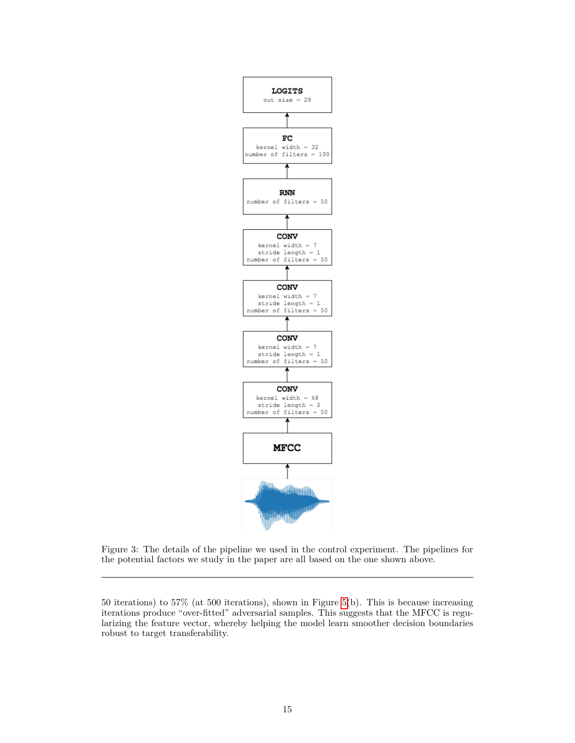

Figure 3: The details of the pipeline we used in the control experiment. The pipelines for the potential factors we study in the paper are all based on the one shown above.

<sup>50</sup> iterations) to 57% (at 500 iterations), shown in Figure [5\(](#page-16-0)b). This is because increasing iterations produce "over-fitted" adversarial samples. This suggests that the MFCC is regularizing the feature vector, whereby helping the model learn smoother decision boundaries robust to target transferability.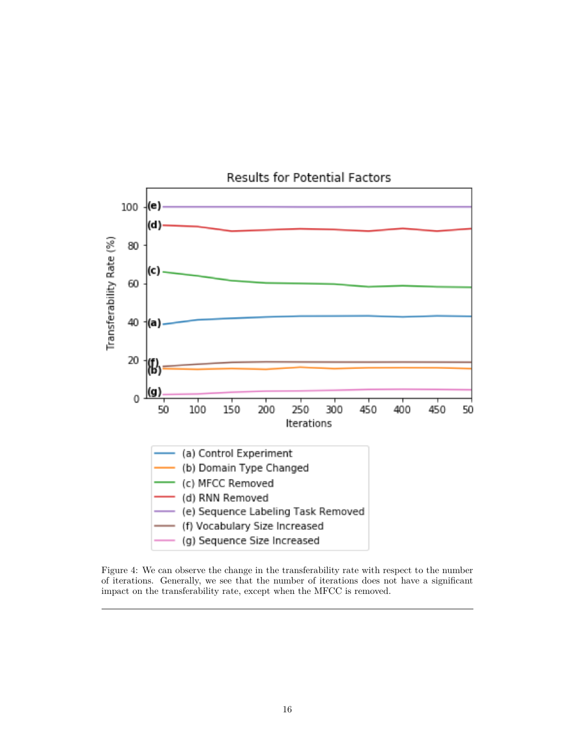

**Results for Potential Factors** 

<span id="page-15-0"></span>Figure 4: We can observe the change in the transferability rate with respect to the number of iterations. Generally, we see that the number of iterations does not have a significant impact on the transferability rate, except when the MFCC is removed.